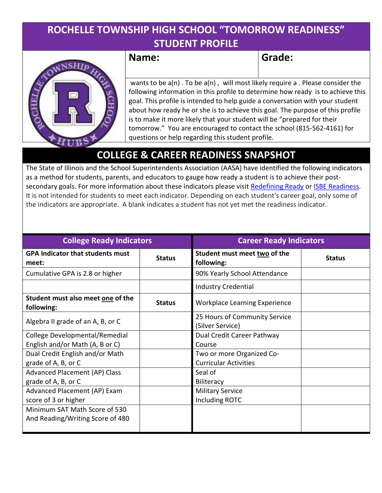### ROCHELLE TOWNSHIP HIGH SCHOOL "TOMORROW READINESS" STUDENT PROFILE



Name: Same Grade:

 wants to be a(n) . To be a(n) , will most likely require a . Please consider the following information in this profile to determine how ready is to achieve this goal. This profile is intended to help guide a conversation with your student about how ready he or she is to achieve this goal. The purpose of this profile is to make it more likely that your student will be "prepared for their tomorrow." You are encouraged to contact the school (815-562-4161) for questions or help regarding this student profile.

## COLLEGE & CAREER READINESS SNAPSHOT

The State of Illinois and the School Superintendents Association (AASA) have identified the following indicators as a method for students, parents, and educators to gauge how ready a student is to achieve their postsecondary goals. For more information about these indicators please visit Redefining Ready or ISBE Readiness. It is not intended for students to meet each indicator. Depending on each student's career goal, only some of the indicators are appropriate. A blank indicates a student has not yet met the readiness indicator.

| <b>College Ready Indicators</b>                  |               | <b>Career Ready Indicators</b>                    |               |  |  |  |
|--------------------------------------------------|---------------|---------------------------------------------------|---------------|--|--|--|
| <b>GPA Indicator that students must</b><br>meet: | <b>Status</b> | Student must meet two of the<br>following:        | <b>Status</b> |  |  |  |
| Cumulative GPA is 2.8 or higher                  |               | 90% Yearly School Attendance                      |               |  |  |  |
|                                                  |               | <b>Industry Credential</b>                        |               |  |  |  |
| Student must also meet one of the<br>following:  | <b>Status</b> | <b>Workplace Learning Experience</b>              |               |  |  |  |
| Algebra II grade of an A, B, or C                |               | 25 Hours of Community Service<br>(Silver Service) |               |  |  |  |
| College Developmental/Remedial                   |               | Dual Credit Career Pathway                        |               |  |  |  |
| English and/or Math (A, B or C)                  |               | Course                                            |               |  |  |  |
| Dual Credit English and/or Math                  |               | Two or more Organized Co-                         |               |  |  |  |
| grade of A, B, or C                              |               | <b>Curricular Activities</b>                      |               |  |  |  |
| <b>Advanced Placement (AP) Class</b>             |               | Seal of                                           |               |  |  |  |
| grade of A, B, or C                              |               | Biliteracy                                        |               |  |  |  |
| Advanced Placement (AP) Exam                     |               | <b>Military Service</b>                           |               |  |  |  |
| score of 3 or higher                             |               | Including ROTC                                    |               |  |  |  |
| Minimum SAT Math Score of 530                    |               |                                                   |               |  |  |  |
| And Reading/Writing Score of 480                 |               |                                                   |               |  |  |  |
|                                                  |               |                                                   |               |  |  |  |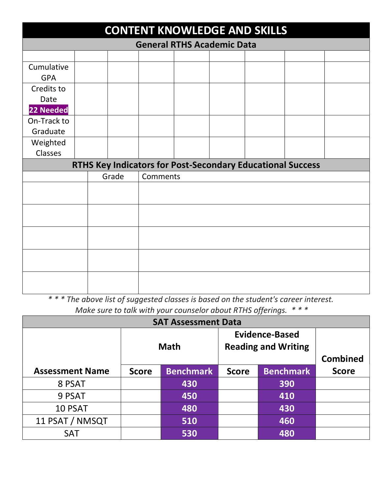| <b>CONTENT KNOWLEDGE AND SKILLS</b> |  |  |       |          |  |  |                                                                   |  |  |  |  |
|-------------------------------------|--|--|-------|----------|--|--|-------------------------------------------------------------------|--|--|--|--|
| <b>General RTHS Academic Data</b>   |  |  |       |          |  |  |                                                                   |  |  |  |  |
|                                     |  |  |       |          |  |  |                                                                   |  |  |  |  |
| Cumulative<br><b>GPA</b>            |  |  |       |          |  |  |                                                                   |  |  |  |  |
| Credits to<br>Date                  |  |  |       |          |  |  |                                                                   |  |  |  |  |
| 22 Needed                           |  |  |       |          |  |  |                                                                   |  |  |  |  |
| On-Track to<br>Graduate             |  |  |       |          |  |  |                                                                   |  |  |  |  |
| Weighted<br>Classes                 |  |  |       |          |  |  |                                                                   |  |  |  |  |
|                                     |  |  |       |          |  |  | <b>RTHS Key Indicators for Post-Secondary Educational Success</b> |  |  |  |  |
|                                     |  |  | Grade | Comments |  |  |                                                                   |  |  |  |  |
|                                     |  |  |       |          |  |  |                                                                   |  |  |  |  |
|                                     |  |  |       |          |  |  |                                                                   |  |  |  |  |
|                                     |  |  |       |          |  |  |                                                                   |  |  |  |  |
|                                     |  |  |       |          |  |  |                                                                   |  |  |  |  |
|                                     |  |  |       |          |  |  |                                                                   |  |  |  |  |

\* \* \* The above list of suggested classes is based on the student's career interest. Make sure to talk with your counselor about RTHS offerings.  $***$ 

| <b>SAT Assessment Data</b> |              |                  |                                                     |                  |                 |  |  |  |  |  |
|----------------------------|--------------|------------------|-----------------------------------------------------|------------------|-----------------|--|--|--|--|--|
|                            |              | <b>Math</b>      | <b>Evidence-Based</b><br><b>Reading and Writing</b> |                  |                 |  |  |  |  |  |
|                            |              |                  |                                                     |                  | <b>Combined</b> |  |  |  |  |  |
| <b>Assessment Name</b>     | <b>Score</b> | <b>Benchmark</b> | <b>Score</b>                                        | <b>Benchmark</b> | <b>Score</b>    |  |  |  |  |  |
| 8 PSAT                     |              | 430              |                                                     | 390              |                 |  |  |  |  |  |
| 9 PSAT                     |              | 450              |                                                     | 410              |                 |  |  |  |  |  |
| 10 PSAT                    |              | 480              |                                                     | 430              |                 |  |  |  |  |  |
| 11 PSAT / NMSQT            |              | 510              |                                                     | 460              |                 |  |  |  |  |  |
| <b>SAT</b>                 |              | 530              |                                                     | 480              |                 |  |  |  |  |  |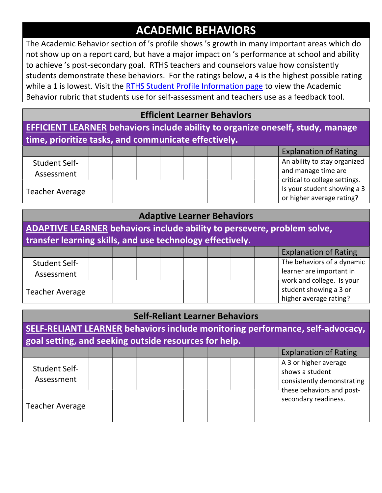# ACADEMIC BEHAVIORS

The Academic Behavior section of 's profile shows 's growth in many important areas which do not show up on a report card, but have a major impact on 's performance at school and ability to achieve 's post-secondary goal. RTHS teachers and counselors value how consistently students demonstrate these behaviors. For the ratings below, a 4 is the highest possible rating while a 1 is lowest. Visit the RTHS Student Profile Information page to view the Academic Behavior rubric that students use for self-assessment and teachers use as a feedback tool.

#### Efficient Learner Behaviors

EFFICIENT LEARNER behaviors include ability to organize oneself, study, manage time, prioritize tasks, and communicate effectively.

|                      |  |  |  |  | <b>Explanation of Rating</b>  |
|----------------------|--|--|--|--|-------------------------------|
| <b>Student Self-</b> |  |  |  |  | An ability to stay organized  |
| Assessment           |  |  |  |  | and manage time are           |
|                      |  |  |  |  | critical to college settings. |
| Teacher Average      |  |  |  |  | Is your student showing a 3   |
|                      |  |  |  |  | or higher average rating?     |

| <b>Adaptive Learner Behaviors</b>                                       |  |  |  |  |  |  |  |  |                                                                               |
|-------------------------------------------------------------------------|--|--|--|--|--|--|--|--|-------------------------------------------------------------------------------|
| ADAPTIVE LEARNER behaviors include ability to persevere, problem solve, |  |  |  |  |  |  |  |  |                                                                               |
| transfer learning skills, and use technology effectively.               |  |  |  |  |  |  |  |  |                                                                               |
|                                                                         |  |  |  |  |  |  |  |  | <b>Explanation of Rating</b>                                                  |
| Student Self-                                                           |  |  |  |  |  |  |  |  | The behaviors of a dynamic                                                    |
| Assessment                                                              |  |  |  |  |  |  |  |  | learner are important in                                                      |
| <b>Teacher Average</b>                                                  |  |  |  |  |  |  |  |  | work and college. Is your<br>student showing a 3 or<br>higher average rating? |

| <b>Self-Reliant Learner Behaviors</b>                                                                                                  |  |  |  |  |  |  |  |  |                                                                        |
|----------------------------------------------------------------------------------------------------------------------------------------|--|--|--|--|--|--|--|--|------------------------------------------------------------------------|
| SELF-RELIANT LEARNER behaviors include monitoring performance, self-advocacy,<br>goal setting, and seeking outside resources for help. |  |  |  |  |  |  |  |  |                                                                        |
|                                                                                                                                        |  |  |  |  |  |  |  |  | <b>Explanation of Rating</b>                                           |
| <b>Student Self-</b><br>Assessment                                                                                                     |  |  |  |  |  |  |  |  | A 3 or higher average<br>shows a student<br>consistently demonstrating |
| <b>Teacher Average</b>                                                                                                                 |  |  |  |  |  |  |  |  | these behaviors and post-<br>secondary readiness.                      |